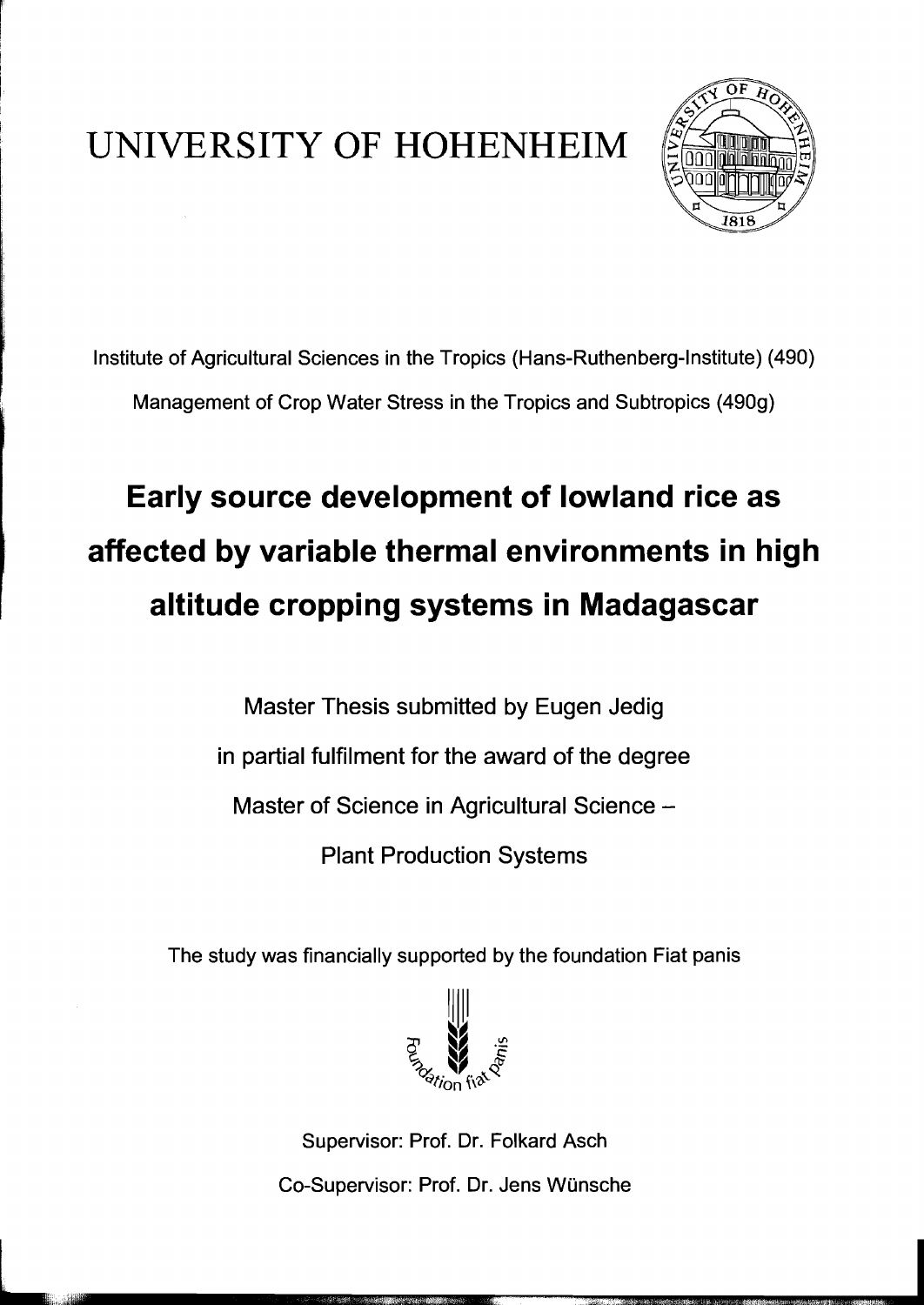## UNIVERSITY OF HOHENHEIM



Institute of Agricultural Sciences in the Tropics (Hans-Ruthenberg-Institute) (490) Management of Crop Water Stress in the Tropics and Subtropics (490g)

## **Early source development of lowland rice as affected by variable thermal environments in high altitude cropping systems in Madagascar**

Master Thesis submitted by Eugen Jedig in partial fulfilment for the award of the degree Master of Science in Agricultural Science -Plant Production Systems

The study was financially supported by the foundation Fiat panis



Supervisor: Prof. Dr. Folkard Asch Co-Supervisor: Prof. Dr. Jens Wünsche